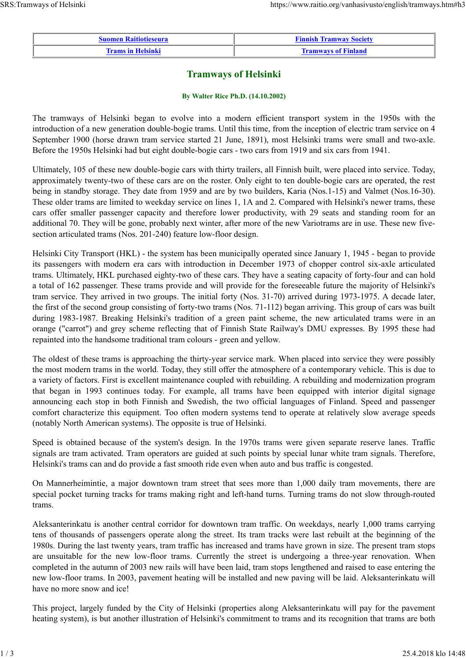| <b>Suomen Raitiotieseura</b> | <b>Finnish Tramway Society</b> |
|------------------------------|--------------------------------|
| <b>Trams in Helsinki</b>     | <b>Tramways of Finland</b>     |

## **Tramways of Helsinki**

## **By Walter Rice Ph.D. (14.10.2002)**

The tramways of Helsinki began to evolve into a modern efficient transport system in the 1950s with the introduction of a new generation double-bogie trams. Until this time, from the inception of electric tram service on 4 September 1900 (horse drawn tram service started 21 June, 1891), most Helsinki trams were small and two-axle. Before the 1950s Helsinki had but eight double-bogie cars - two cars from 1919 and six cars from 1941.

Ultimately, 105 of these new double-bogie cars with thirty trailers, all Finnish built, were placed into service. Today, approximately twenty-two of these cars are on the roster. Only eight to ten double-bogie cars are operated, the rest being in standby storage. They date from 1959 and are by two builders, Karia (Nos.1-15) and Valmet (Nos.16-30). These older trams are limited to weekday service on lines 1, 1A and 2. Compared with Helsinki's newer trams, these cars offer smaller passenger capacity and therefore lower productivity, with 29 seats and standing room for an additional 70. They will be gone, probably next winter, after more of the new Variotrams are in use. These new fivesection articulated trams (Nos. 201-240) feature low-floor design.

Helsinki City Transport (HKL) - the system has been municipally operated since January 1, 1945 - began to provide its passengers with modern era cars with introduction in December 1973 of chopper control six-axle articulated trams. Ultimately, HKL purchased eighty-two of these cars. They have a seating capacity of forty-four and can hold a total of 162 passenger. These trams provide and will provide for the foreseeable future the majority of Helsinki's tram service. They arrived in two groups. The initial forty (Nos. 31-70) arrived during 1973-1975. A decade later, the first of the second group consisting of forty-two trams (Nos. 71-112) began arriving. This group of cars was built during 1983-1987. Breaking Helsinki's tradition of a green paint scheme, the new articulated trams were in an orange ("carrot") and grey scheme reflecting that of Finnish State Railway's DMU expresses. By 1995 these had repainted into the handsome traditional tram colours - green and yellow.

The oldest of these trams is approaching the thirty-year service mark. When placed into service they were possibly the most modern trams in the world. Today, they still offer the atmosphere of a contemporary vehicle. This is due to a variety of factors. First is excellent maintenance coupled with rebuilding. A rebuilding and modernization program that began in 1993 continues today. For example, all trams have been equipped with interior digital signage announcing each stop in both Finnish and Swedish, the two official languages of Finland. Speed and passenger comfort characterize this equipment. Too often modern systems tend to operate at relatively slow average speeds (notably North American systems). The opposite is true of Helsinki.

Speed is obtained because of the system's design. In the 1970s trams were given separate reserve lanes. Traffic signals are tram activated. Tram operators are guided at such points by special lunar white tram signals. Therefore, Helsinki's trams can and do provide a fast smooth ride even when auto and bus traffic is congested.

On Mannerheimintie, a major downtown tram street that sees more than 1,000 daily tram movements, there are special pocket turning tracks for trams making right and left-hand turns. Turning trams do not slow through-routed trams.

Aleksanterinkatu is another central corridor for downtown tram traffic. On weekdays, nearly 1,000 trams carrying tens of thousands of passengers operate along the street. Its tram tracks were last rebuilt at the beginning of the 1980s. During the last twenty years, tram traffic has increased and trams have grown in size. The present tram stops are unsuitable for the new low-floor trams. Currently the street is undergoing a three-year renovation. When completed in the autumn of 2003 new rails will have been laid, tram stops lengthened and raised to ease entering the new low-floor trams. In 2003, pavement heating will be installed and new paving will be laid. Aleksanterinkatu will have no more snow and ice!

This project, largely funded by the City of Helsinki (properties along Aleksanterinkatu will pay for the pavement heating system), is but another illustration of Helsinki's commitment to trams and its recognition that trams are both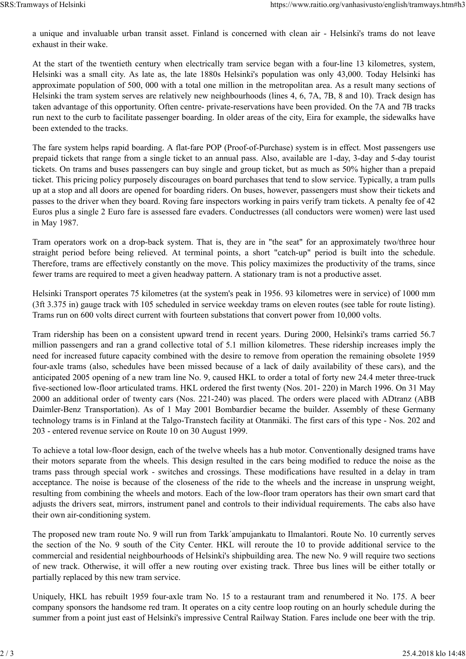a unique and invaluable urban transit asset. Finland is concerned with clean air - Helsinki's trams do not leave exhaust in their wake.

At the start of the twentieth century when electrically tram service began with a four-line 13 kilometres, system, Helsinki was a small city. As late as, the late 1880s Helsinki's population was only 43,000. Today Helsinki has approximate population of 500, 000 with a total one million in the metropolitan area. As a result many sections of Helsinki the tram system serves are relatively new neighbourhoods (lines 4, 6, 7A, 7B, 8 and 10). Track design has taken advantage of this opportunity. Often centre- private-reservations have been provided. On the 7A and 7B tracks run next to the curb to facilitate passenger boarding. In older areas of the city, Eira for example, the sidewalks have been extended to the tracks.

The fare system helps rapid boarding. A flat-fare POP (Proof-of-Purchase) system is in effect. Most passengers use prepaid tickets that range from a single ticket to an annual pass. Also, available are 1-day, 3-day and 5-day tourist tickets. On trams and buses passengers can buy single and group ticket, but as much as 50% higher than a prepaid ticket. This pricing policy purposely discourages on board purchases that tend to slow service. Typically, a tram pulls up at a stop and all doors are opened for boarding riders. On buses, however, passengers must show their tickets and passes to the driver when they board. Roving fare inspectors working in pairs verify tram tickets. A penalty fee of 42 Euros plus a single 2 Euro fare is assessed fare evaders. Conductresses (all conductors were women) were last used in May 1987.

Tram operators work on a drop-back system. That is, they are in "the seat" for an approximately two/three hour straight period before being relieved. At terminal points, a short "catch-up" period is built into the schedule. Therefore, trams are effectively constantly on the move. This policy maximizes the productivity of the trams, since fewer trams are required to meet a given headway pattern. A stationary tram is not a productive asset.

Helsinki Transport operates 75 kilometres (at the system's peak in 1956. 93 kilometres were in service) of 1000 mm (3ft 3.375 in) gauge track with 105 scheduled in service weekday trams on eleven routes (see table for route listing). Trams run on 600 volts direct current with fourteen substations that convert power from 10,000 volts.

Tram ridership has been on a consistent upward trend in recent years. During 2000, Helsinki's trams carried 56.7 million passengers and ran a grand collective total of 5.1 million kilometres. These ridership increases imply the need for increased future capacity combined with the desire to remove from operation the remaining obsolete 1959 four-axle trams (also, schedules have been missed because of a lack of daily availability of these cars), and the anticipated 2005 opening of a new tram line No. 9, caused HKL to order a total of forty new 24.4 meter three-truck five-sectioned low-floor articulated trams. HKL ordered the first twenty (Nos. 201- 220) in March 1996. On 31 May 2000 an additional order of twenty cars (Nos. 221-240) was placed. The orders were placed with ADtranz (ABB Daimler-Benz Transportation). As of 1 May 2001 Bombardier became the builder. Assembly of these Germany technology trams is in Finland at the Talgo-Transtech facility at Otanmäki. The first cars of this type - Nos. 202 and 203 - entered revenue service on Route 10 on 30 August 1999.

To achieve a total low-floor design, each of the twelve wheels has a hub motor. Conventionally designed trams have their motors separate from the wheels. This design resulted in the cars being modified to reduce the noise as the trams pass through special work - switches and crossings. These modifications have resulted in a delay in tram acceptance. The noise is because of the closeness of the ride to the wheels and the increase in unsprung weight, resulting from combining the wheels and motors. Each of the low-floor tram operators has their own smart card that adjusts the drivers seat, mirrors, instrument panel and controls to their individual requirements. The cabs also have their own air-conditioning system.

The proposed new tram route No. 9 will run from Tarkk´ampujankatu to Ilmalantori. Route No. 10 currently serves the section of the No. 9 south of the City Center. HKL will reroute the 10 to provide additional service to the commercial and residential neighbourhoods of Helsinki's shipbuilding area. The new No. 9 will require two sections of new track. Otherwise, it will offer a new routing over existing track. Three bus lines will be either totally or partially replaced by this new tram service.

Uniquely, HKL has rebuilt 1959 four-axle tram No. 15 to a restaurant tram and renumbered it No. 175. A beer company sponsors the handsome red tram. It operates on a city centre loop routing on an hourly schedule during the summer from a point just east of Helsinki's impressive Central Railway Station. Fares include one beer with the trip.